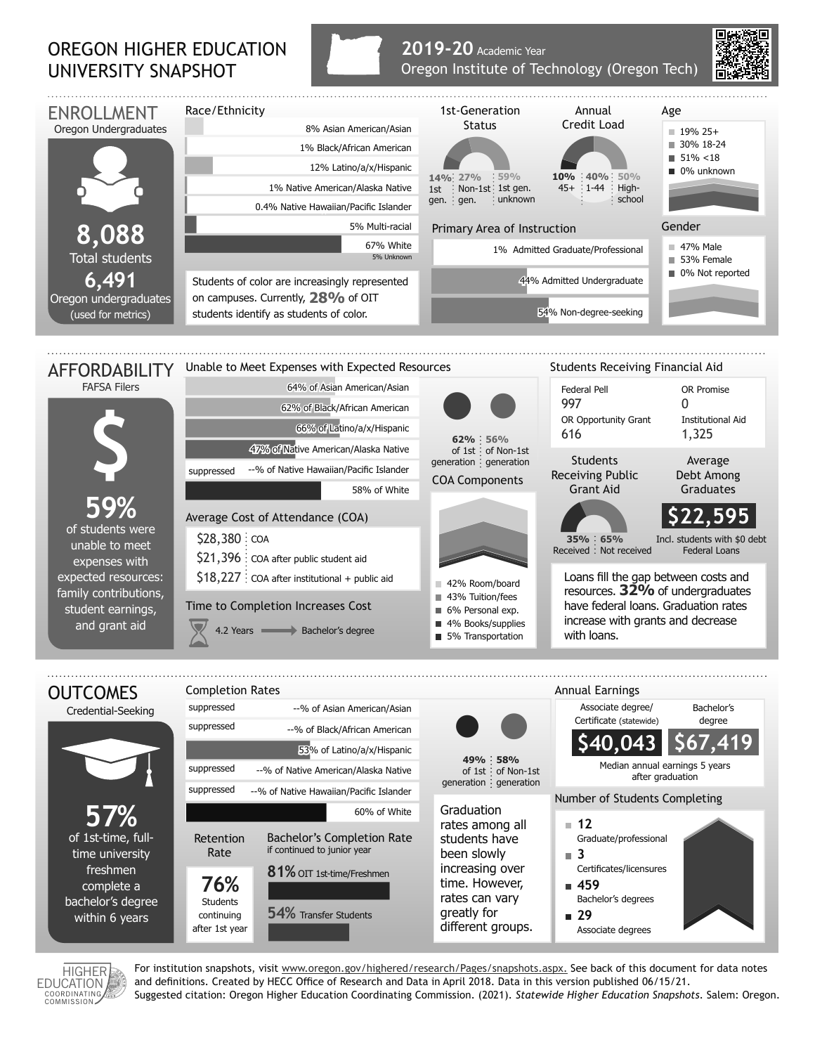## OREGON HIGHER EDUCATION UNIVERSITY SNAPSHOT



## **2019-20** Academic Year Oregon Institute of Technology (Oregon Tech)





time university freshmen complete a bachelor's degree within 6 years

**76% Students** continuing after 1st year **81%** OIT 1st-time/Freshmen

54 **54%** Transfer Students

HIGHER<br>/ EDUCATION EDUCATION<br>
COORDINATING<br>
COMMISSION

For institution snapshots, visit www.oregon.gov/highered/research/Pages/snapshots.aspx. See back of this document for data notes and definitions. Created by HECC Office of Research and Data in April 2018. Data in this version published 06/15/21. Suggested citation: Oregon Higher Education Coordinating Commission. (2021). *Statewide Higher Education Snapshots*. Salem: Oregon.

increasing over time. However, rates can vary greatly for different groups. Certificates/licensures

Bachelor's degrees

Associate degrees

**459**

**29**